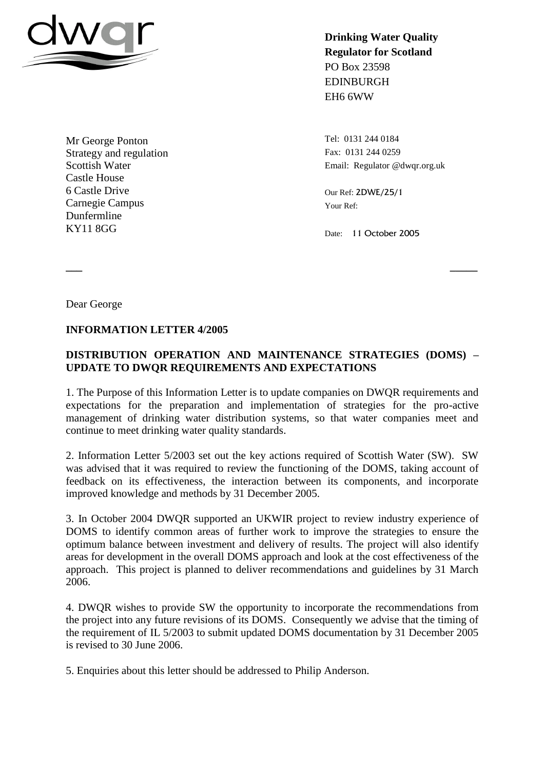

Mr George Ponton Strategy and regulation Scottish Water Castle House 6 Castle Drive Carnegie Campus Dunfermline KY11 8GG

**Drinking Water Quality Regulator for Scotland** PO Box 23598 EDINBURGH EH6 6WW

Tel: 0131 244 0184 Fax: 0131 244 0259 Email: Regulator @dwqr.org.uk

Our Ref: 2DWE/25/1 Your Ref:

Date: 11 October 2005

Dear George

## **INFORMATION LETTER 4/2005**

## **DISTRIBUTION OPERATION AND MAINTENANCE STRATEGIES (DOMS) – UPDATE TO DWQR REQUIREMENTS AND EXPECTATIONS**

**\_\_\_ \_\_\_\_\_**

1. The Purpose of this Information Letter is to update companies on DWQR requirements and expectations for the preparation and implementation of strategies for the pro-active management of drinking water distribution systems, so that water companies meet and continue to meet drinking water quality standards.

2. Information Letter 5/2003 set out the key actions required of Scottish Water (SW). SW was advised that it was required to review the functioning of the DOMS, taking account of feedback on its effectiveness, the interaction between its components, and incorporate improved knowledge and methods by 31 December 2005.

3. In October 2004 DWQR supported an UKWIR project to review industry experience of DOMS to identify common areas of further work to improve the strategies to ensure the optimum balance between investment and delivery of results. The project will also identify areas for development in the overall DOMS approach and look at the cost effectiveness of the approach. This project is planned to deliver recommendations and guidelines by 31 March 2006.

4. DWQR wishes to provide SW the opportunity to incorporate the recommendations from the project into any future revisions of its DOMS. Consequently we advise that the timing of the requirement of IL 5/2003 to submit updated DOMS documentation by 31 December 2005 is revised to 30 June 2006.

5. Enquiries about this letter should be addressed to Philip Anderson.